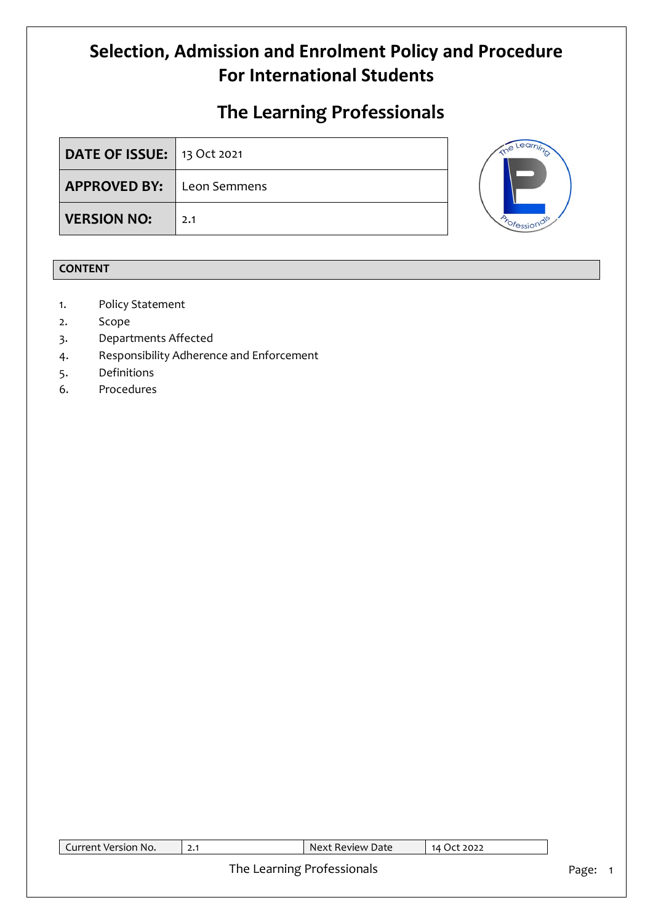## **The Learning Professionals**

| <b>DATE OF ISSUE:</b> 13 Oct 2021 |     |
|-----------------------------------|-----|
| <b>APPROVED BY:</b> Leon Semmens  |     |
| <b>VERSION NO:</b>                | 2.1 |



## **CONTENT**

- 1. Policy Statement
- 2. Scope
- 3. Departments Affected
- 4. Responsibility Adherence and Enforcement
- 5. Definitions
- 6. Procedures

| Current Version No. | Next Review Date           | 14 Oct 2022 |       |
|---------------------|----------------------------|-------------|-------|
|                     | The Learning Professionals |             | Page: |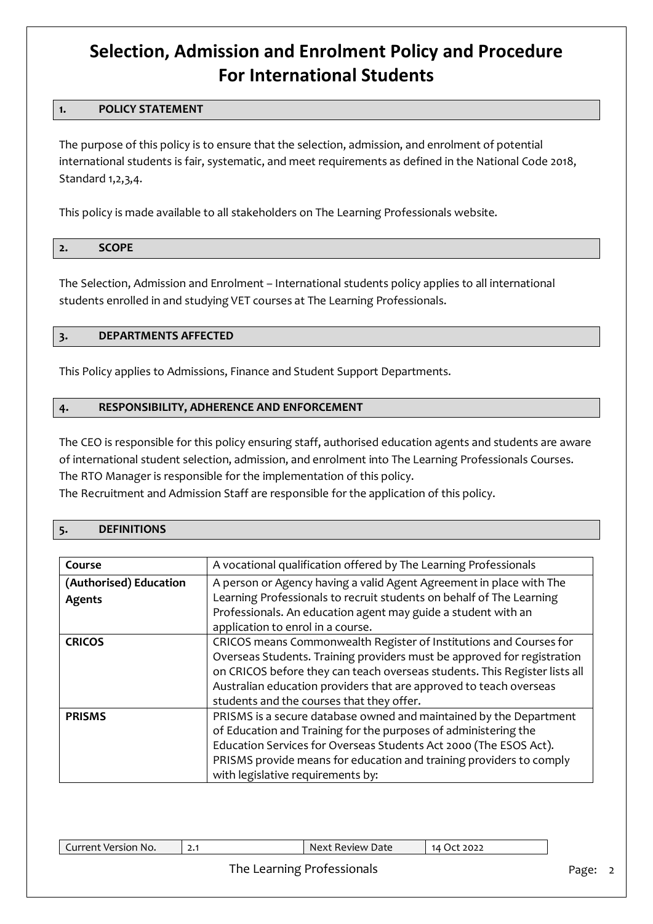### **1. POLICY STATEMENT**

The purpose of this policy is to ensure that the selection, admission, and enrolment of potential international students is fair, systematic, and meet requirements as defined in the National Code 2018, Standard 1,2,3,4.

This policy is made available to all stakeholders on The Learning Professionals website.

| 2000<br>$\sim$<br>----- |  |
|-------------------------|--|
|-------------------------|--|

The Selection, Admission and Enrolment – International students policy applies to all international students enrolled in and studying VET courses at The Learning Professionals.

### **3. DEPARTMENTS AFFECTED**

This Policy applies to Admissions, Finance and Student Support Departments.

### **4. RESPONSIBILITY, ADHERENCE AND ENFORCEMENT**

The CEO is responsible for this policy ensuring staff, authorised education agents and students are aware of international student selection, admission, and enrolment into The Learning Professionals Courses. The RTO Manager is responsible for the implementation of this policy.

The Recruitment and Admission Staff are responsible for the application of this policy.

#### **5. DEFINITIONS**

| Course                 |                                                                            |
|------------------------|----------------------------------------------------------------------------|
|                        | A vocational qualification offered by The Learning Professionals           |
| (Authorised) Education | A person or Agency having a valid Agent Agreement in place with The        |
| Agents                 | Learning Professionals to recruit students on behalf of The Learning       |
|                        | Professionals. An education agent may guide a student with an              |
|                        | application to enrol in a course.                                          |
| <b>CRICOS</b>          | CRICOS means Commonwealth Register of Institutions and Courses for         |
|                        | Overseas Students. Training providers must be approved for registration    |
|                        | on CRICOS before they can teach overseas students. This Register lists all |
|                        | Australian education providers that are approved to teach overseas         |
|                        | students and the courses that they offer.                                  |
| <b>PRISMS</b>          | PRISMS is a secure database owned and maintained by the Department         |
|                        | of Education and Training for the purposes of administering the            |
|                        | Education Services for Overseas Students Act 2000 (The ESOS Act).          |
|                        | PRISMS provide means for education and training providers to comply        |
|                        | with legislative requirements by:                                          |

| $\blacksquare$<br>Version<br>`No. | ا • 4 | Nex:<br>Date<br>Review i | 2022 |
|-----------------------------------|-------|--------------------------|------|
|                                   |       |                          |      |

### The Learning Professionals **Page: 2** Page: 2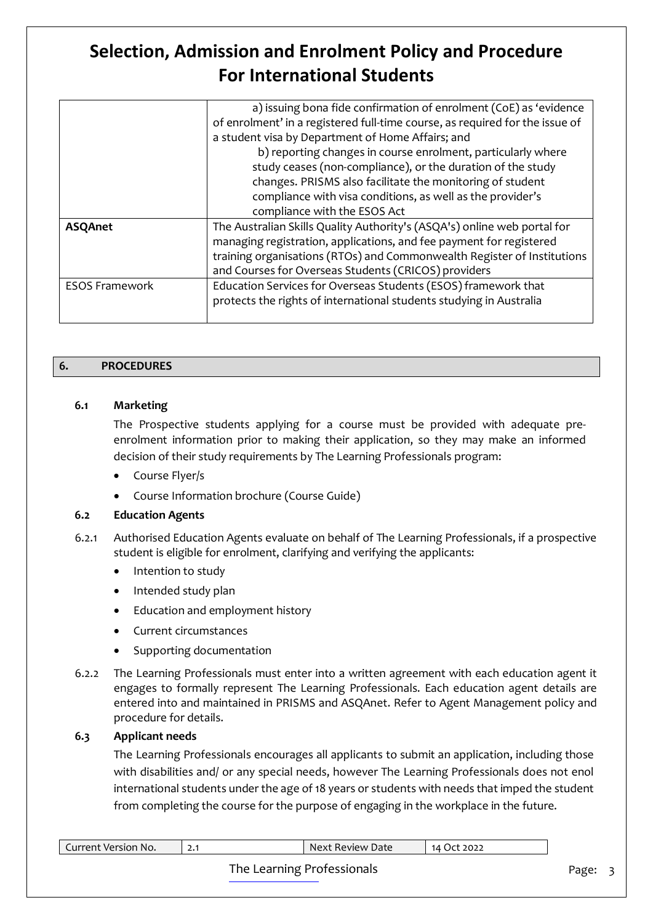|                       | a) issuing bona fide confirmation of enrolment (CoE) as 'evidence            |
|-----------------------|------------------------------------------------------------------------------|
|                       | of enrolment' in a registered full-time course, as required for the issue of |
|                       | a student visa by Department of Home Affairs; and                            |
|                       | b) reporting changes in course enrolment, particularly where                 |
|                       | study ceases (non-compliance), or the duration of the study                  |
|                       | changes. PRISMS also facilitate the monitoring of student                    |
|                       | compliance with visa conditions, as well as the provider's                   |
|                       | compliance with the ESOS Act                                                 |
| <b>ASQAnet</b>        | The Australian Skills Quality Authority's (ASQA's) online web portal for     |
|                       | managing registration, applications, and fee payment for registered          |
|                       | training organisations (RTOs) and Commonwealth Register of Institutions      |
|                       | and Courses for Overseas Students (CRICOS) providers                         |
| <b>ESOS Framework</b> | Education Services for Overseas Students (ESOS) framework that               |
|                       | protects the rights of international students studying in Australia          |
|                       |                                                                              |

### **6. PROCEDURES**

### **6.1 Marketing**

The Prospective students applying for a course must be provided with adequate preenrolment information prior to making their application, so they may make an informed decision of their study requirements by The Learning Professionals program:

- Course Flyer/s
- Course Information brochure (Course Guide)

### **6.2 Education Agents**

- 6.2.1 Authorised Education Agents evaluate on behalf of The Learning Professionals, if a prospective student is eligible for enrolment, clarifying and verifying the applicants:
	- Intention to study
	- Intended study plan
	- Education and employment history
	- Current circumstances
	- Supporting documentation
- 6.2.2 The Learning Professionals must enter into a written agreement with each education agent it engages to formally represent The Learning Professionals. Each education agent details are entered into and maintained in PRISMS and ASQAnet. Refer to Agent Management policy and procedure for details.

### **6.3 Applicant needs**

The Learning Professionals encourages all applicants to submit an application, including those with disabilities and/ or any special needs, however The Learning Professionals does not enol international students under the age of 18 years or students with needs that imped the student from completing the course for the purpose of engaging in the workplace in the future.

| Current Version No. | Next Review Date           | 14 Oct 2022 |       |  |
|---------------------|----------------------------|-------------|-------|--|
|                     | The Learning Professionals |             | Page: |  |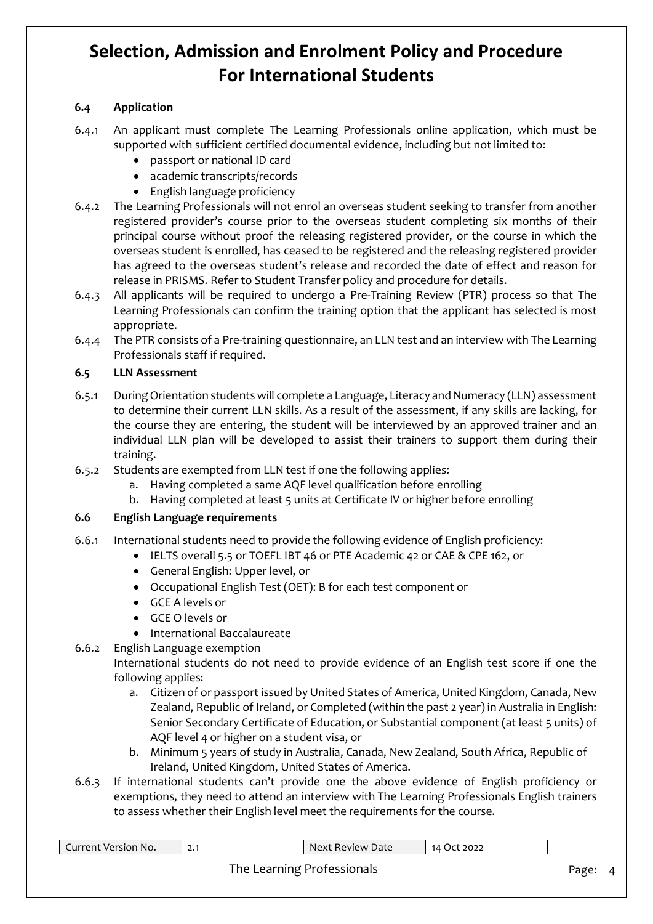### **6.4 Application**

- 6.4.1 An applicant must complete The Learning Professionals online application, which must be supported with sufficient certified documental evidence, including but not limited to:
	- passport or national ID card
	- academic transcripts/records
	- English language proficiency
- 6.4.2 The Learning Professionals will not enrol an overseas student seeking to transfer from another registered provider's course prior to the overseas student completing six months of their principal course without proof the releasing registered provider, or the course in which the overseas student is enrolled, has ceased to be registered and the releasing registered provider has agreed to the overseas student's release and recorded the date of effect and reason for release in PRISMS. Refer to Student Transfer policy and procedure for details.
- 6.4.3 All applicants will be required to undergo a Pre-Training Review (PTR) process so that The Learning Professionals can confirm the training option that the applicant has selected is most appropriate.
- 6.4.4 The PTR consists of a Pre-training questionnaire, an LLN test and an interview with The Learning Professionals staff if required.

### **6.5 LLN Assessment**

- 6.5.1 During Orientation students will complete a Language, Literacy and Numeracy (LLN) assessment to determine their current LLN skills. As a result of the assessment, if any skills are lacking, for the course they are entering, the student will be interviewed by an approved trainer and an individual LLN plan will be developed to assist their trainers to support them during their training.
- 6.5.2 Students are exempted from LLN test if one the following applies:
	- a. Having completed a same AQF level qualification before enrolling
	- b. Having completed at least 5 units at Certificate IV or higher before enrolling

### **6.6 English Language requirements**

- 6.6.1 International students need to provide the following evidence of English proficiency:
	- IELTS overall 5.5 or TOEFL IBT 46 or PTE Academic 42 or CAE & CPE 162, or
		- General English: Upper level, or
		- Occupational English Test (OET): B for each test component or
		- GCE A levels or
		- GCE O levels or
		- International Baccalaureate

6.6.2 English Language exemption International students do not need to provide evidence of an English test score if one the following applies:

- a. Citizen of or passport issued by United States of America, United Kingdom, Canada, New Zealand, Republic of Ireland, or Completed (within the past 2 year) in Australia in English: Senior Secondary Certificate of Education, or Substantial component (at least 5 units) of AQF level 4 or higher on a student visa, or
- b. Minimum 5 years of study in Australia, Canada, New Zealand, South Africa, Republic of Ireland, United Kingdom, United States of America.
- 6.6.3 If international students can't provide one the above evidence of English proficiency or exemptions, they need to attend an interview with The Learning Professionals English trainers to assess whether their English level meet the requirements for the course.

| Current Version No. | 2.1 | $\blacksquare$ Next Review Date $\blacksquare$ | 14 Oct 2022 |       |  |
|---------------------|-----|------------------------------------------------|-------------|-------|--|
|                     |     | The Learning Professionals                     |             | Page: |  |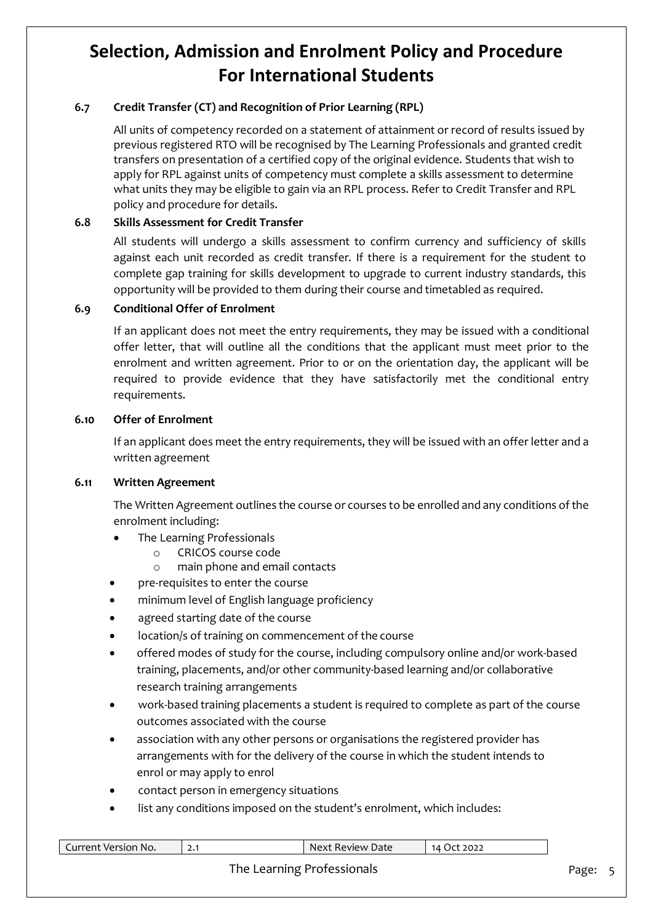## **6.7 Credit Transfer (CT) and Recognition of Prior Learning (RPL)**

All units of competency recorded on a statement of attainment or record of results issued by previous registered RTO will be recognised by The Learning Professionals and granted credit transfers on presentation of a certified copy of the original evidence. Students that wish to apply for RPL against units of competency must complete a skills assessment to determine what units they may be eligible to gain via an RPL process. Refer to Credit Transfer and RPL policy and procedure for details.

### **6.8 Skills Assessment for Credit Transfer**

All students will undergo a skills assessment to confirm currency and sufficiency of skills against each unit recorded as credit transfer. If there is a requirement for the student to complete gap training for skills development to upgrade to current industry standards, this opportunity will be provided to them during their course and timetabled as required.

### **6.9 Conditional Offer of Enrolment**

If an applicant does not meet the entry requirements, they may be issued with a conditional offer letter, that will outline all the conditions that the applicant must meet prior to the enrolment and written agreement. Prior to or on the orientation day, the applicant will be required to provide evidence that they have satisfactorily met the conditional entry requirements.

### **6.10 Offer of Enrolment**

If an applicant does meet the entry requirements, they will be issued with an offer letter and a written agreement

### **6.11 Written Agreement**

The Written Agreement outlines the course or courses to be enrolled and any conditions of the enrolment including:

- The Learning Professionals
	- o CRICOS course code
	- o main phone and email contacts
- pre-requisites to enter the course
- minimum level of English language proficiency
- agreed starting date of the course
- location/s of training on commencement of the course
- offered modes of study for the course, including compulsory online and/or work-based training, placements, and/or other community-based learning and/or collaborative research training arrangements
- work-based training placements a student is required to complete as part of the course outcomes associated with the course
- association with any other persons or organisations the registered provider has arrangements with for the delivery of the course in which the student intends to enrol or may apply to enrol
- contact person in emergency situations
- list any conditions imposed on the student's enrolment, which includes:

| Current Version No. | Next Review Date           | 14 Oct 2022 |       |  |
|---------------------|----------------------------|-------------|-------|--|
|                     | The Learning Professionals |             | Page: |  |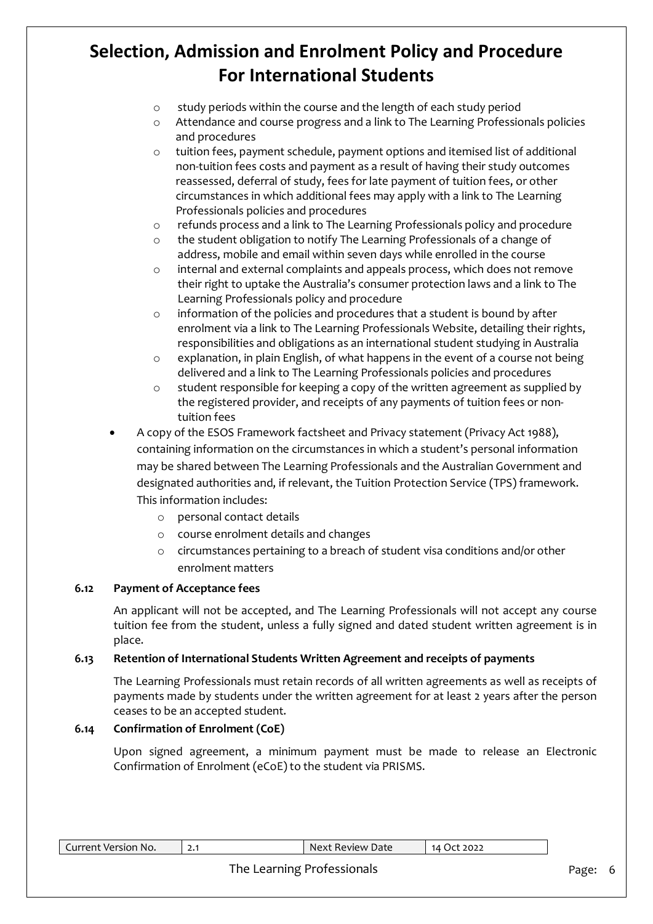- o study periods within the course and the length of each study period
- o Attendance and course progress and a link to The Learning Professionals policies and procedures
- o tuition fees, payment schedule, payment options and itemised list of additional non-tuition fees costs and payment as a result of having their study outcomes reassessed, deferral of study, fees for late payment of tuition fees, or other circumstances in which additional fees may apply with a link to The Learning Professionals policies and procedures
- o refunds process and a link to The Learning Professionals policy and procedure
- o the student obligation to notify The Learning Professionals of a change of address, mobile and email within seven days while enrolled in the course
- o internal and external complaints and appeals process, which does not remove their right to uptake the Australia's consumer protection laws and a link to The Learning Professionals policy and procedure
- o information of the policies and procedures that a student is bound by after enrolment via a link to The Learning Professionals Website, detailing their rights, responsibilities and obligations as an international student studying in Australia
- o explanation, in plain English, of what happens in the event of a course not being delivered and a link to The Learning Professionals policies and procedures
- $\circ$  student responsible for keeping a copy of the written agreement as supplied by the registered provider, and receipts of any payments of tuition fees or nontuition fees
- A copy of the ESOS Framework factsheet and Privacy statement (Privacy Act 1988), containing information on the circumstances in which a student's personal information may be shared between The Learning Professionals and the Australian Government and designated authorities and, if relevant, the Tuition Protection Service (TPS) framework. This information includes:
	- o personal contact details
	- o course enrolment details and changes
	- o circumstances pertaining to a breach of student visa conditions and/or other enrolment matters

### **6.12 Payment of Acceptance fees**

An applicant will not be accepted, and The Learning Professionals will not accept any course tuition fee from the student, unless a fully signed and dated student written agreement is in place.

### **6.13 Retention of International Students Written Agreement and receipts of payments**

The Learning Professionals must retain records of all written agreements as well as receipts of payments made by students under the written agreement for at least 2 years after the person ceases to be an accepted student.

### **6.14 Confirmation of Enrolment (CoE)**

Upon signed agreement, a minimum payment must be made to release an Electronic Confirmation of Enrolment (eCoE) to the student via PRISMS.

| Current Version No. | Next Review Date           | 14 Oct 2022 |       |  |
|---------------------|----------------------------|-------------|-------|--|
|                     | The Learning Professionals |             | Page: |  |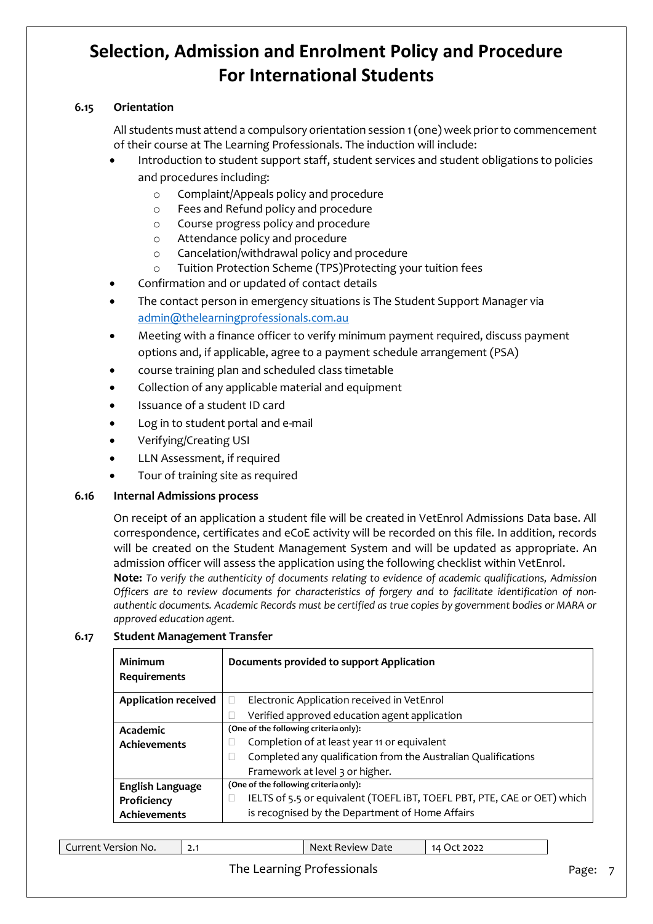### **6.15 Orientation**

All students must attend a compulsory orientation session 1 (one) week prior to commencement of their course at The Learning Professionals. The induction will include:

- Introduction to student support staff, student services and student obligations to policies and procedures including:
	- o Complaint/Appeals policy and procedure
	- o Fees and Refund policy and procedure
	- o Course progress policy and procedure
	- o Attendance policy and procedure
	- o Cancelation/withdrawal policy and procedure
	- o Tuition Protection Scheme (TPS)Protecting your tuition fees
- Confirmation and or updated of contact details
- The contact person in emergency situations is The Student Support Manager via [admin@thelearningprofessionals.com.au](mailto:admin@thelearningprofessionals.com.au)
- Meeting with a finance officer to verify minimum payment required, discuss payment options and, if applicable, agree to a payment schedule arrangement (PSA)
- course training plan and scheduled class timetable
- Collection of any applicable material and equipment
- Issuance of a student ID card
- Log in to student portal and e-mail
- Verifying/Creating USI
- LLN Assessment, if required
- Tour of training site as required

### **6.16 Internal Admissions process**

On receipt of an application a student file will be created in VetEnrol Admissions Data base. All correspondence, certificates and eCoE activity will be recorded on this file. In addition, records will be created on the Student Management System and will be updated as appropriate. An admission officer will assess the application using the following checklist within VetEnrol.

**Note:** *To verify the authenticity of documents relating to evidence of academic qualifications, Admission Officers are to review documents for characteristics of forgery and to facilitate identification of nonauthentic documents. Academic Records must be certified as true copies by government bodies or MARA or approved education agent.*

| Minimum                     | Documents provided to support Application                                |
|-----------------------------|--------------------------------------------------------------------------|
| Requirements                |                                                                          |
| <b>Application received</b> | Electronic Application received in VetEnrol                              |
|                             | Verified approved education agent application                            |
| Academic                    | (One of the following criteria only):                                    |
| <b>Achievements</b>         | Completion of at least year 11 or equivalent                             |
|                             | Completed any qualification from the Australian Qualifications           |
|                             | Framework at level 3 or higher.                                          |
| English Language            | (One of the following criteria only):                                    |
| Proficiency                 | IELTS of 5.5 or equivalent (TOEFL IBT, TOEFL PBT, PTE, CAE or OET) which |
| <b>Achievements</b>         | is recognised by the Department of Home Affairs                          |

#### **6.17 Student Management Transfer**

| 2022<br>Lurrent<br>Review Date<br>. ) $\epsilon^*$<br>* Version No.<br>Next<br>14 .<br><u>.</u> |
|-------------------------------------------------------------------------------------------------|
|-------------------------------------------------------------------------------------------------|

### The Learning Professionals **Page: 7** Page: 7